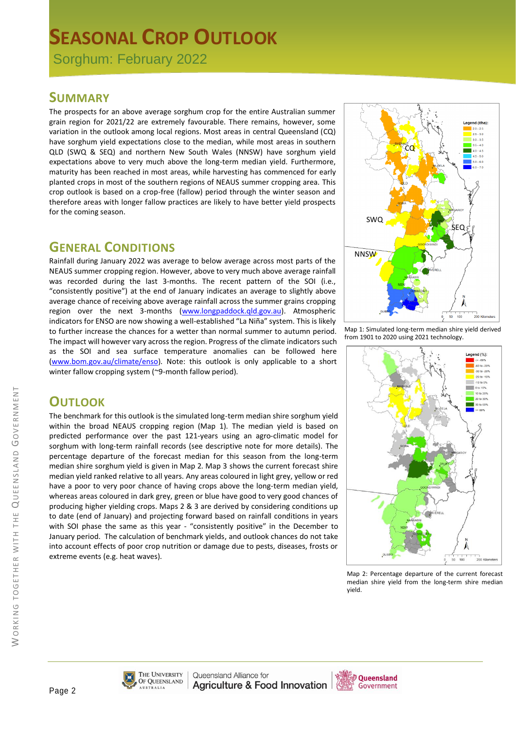# **SEASONAL CROP OUTLOOK**

Sorghum: February 2022

#### **SUMMARY**

The prospects for an above average sorghum crop for the entire Australian summer grain region for 2021/22 are extremely favourable. There remains, however, some variation in the outlook among local regions. Most areas in central Queensland (CQ) have sorghum yield expectations close to the median, while most areas in southern QLD (SWQ & SEQ) and northern New South Wales (NNSW) have sorghum yield expectations above to very much above the long-term median yield. Furthermore, maturity has been reached in most areas, while harvesting has commenced for early planted crops in most of the southern regions of NEAUS summer cropping area. This crop outlook is based on a crop-free (fallow) period through the winter season and therefore areas with longer fallow practices are likely to have better yield prospects for the coming season.

### **GENERAL CONDITIONS**

Rainfall during January 2022 was average to below average across most parts of the NEAUS summer cropping region. However, above to very much above average rainfall was recorded during the last 3-months. The recent pattern of the SOI (i.e., "consistently positive") at the end of January indicates an average to slightly above average chance of receiving above average rainfall across the summer grains cropping region over the next 3-months (www.longpaddock.qld.gov.au). Atmospheric indicators for ENSO are now showing a well-established "La Niña" system. This is likely to further increase the chances for a wetter than normal summer to autumn period. The impact will however vary across the region. Progress of the climate indicators such as the SOI and sea surface temperature anomalies can be followed here (www.bom.gov.au/climate/enso). Note: this outlook is only applicable to a short winter fallow cropping system (~9-month fallow period).



Map 1: Simulated long-term median shire yield derived from 1901 to 2020 using 2021 technology.



Map 2: Percentage departure of the current forecast median shire yield from the long-term shire median yield.

## **OUTLOOK**

The benchmark for this outlook is the simulated long-term median shire sorghum yield within the broad NEAUS cropping region (Map 1). The median yield is based on predicted performance over the past 121-years using an agro-climatic model for sorghum with long-term rainfall records (see descriptive note for more details). The percentage departure of the forecast median for this season from the long-term median shire sorghum yield is given in Map 2. Map 3 shows the current forecast shire median yield ranked relative to all years. Any areas coloured in light grey, yellow or red have a poor to very poor chance of having crops above the long-term median yield, whereas areas coloured in dark grey, green or blue have good to very good chances of producing higher yielding crops. Maps 2 & 3 are derived by considering conditions up to date (end of January) and projecting forward based on rainfall conditions in years with SOI phase the same as this year - "consistently positive" in the December to January period. The calculation of benchmark yields, and outlook chances do not take into account effects of poor crop nutrition or damage due to pests, diseases, frosts or extreme events (e.g. heat waves).